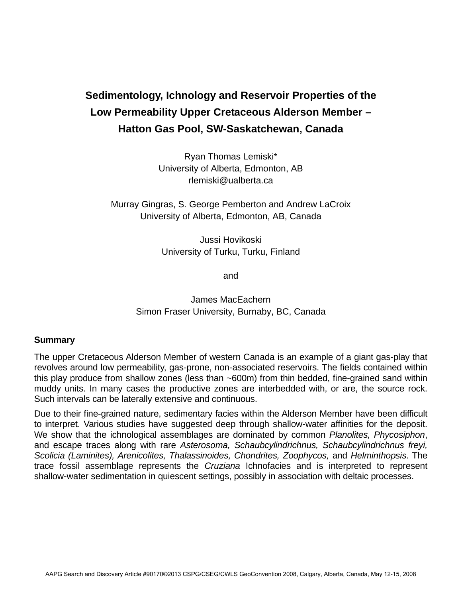## **Sedimentology, Ichnology and Reservoir Properties of the Low Permeability Upper Cretaceous Alderson Member – Hatton Gas Pool, SW-Saskatchewan, Canada**

Ryan Thomas Lemiski\* University of Alberta, Edmonton, AB rlemiski@ualberta.ca

Murray Gingras, S. George Pemberton and Andrew LaCroix University of Alberta, Edmonton, AB, Canada

> Jussi Hovikoski University of Turku, Turku, Finland

> > and

James MacEachern Simon Fraser University, Burnaby, BC, Canada

## **Summary**

The upper Cretaceous Alderson Member of western Canada is an example of a giant gas-play that revolves around low permeability, gas-prone, non-associated reservoirs. The fields contained within this play produce from shallow zones (less than ~600m) from thin bedded, fine-grained sand within muddy units. In many cases the productive zones are interbedded with, or are, the source rock. Such intervals can be laterally extensive and continuous.

Due to their fine-grained nature, sedimentary facies within the Alderson Member have been difficult to interpret. Various studies have suggested deep through shallow-water affinities for the deposit. We show that the ichnological assemblages are dominated by common *Planolites, Phycosiphon*, and escape traces along with rare *Asterosoma, Schaubcylindrichnus, Schaubcylindrichnus freyi, Scolicia (Laminites), Arenicolites, Thalassinoides, Chondrites, Zoophycos,* and *Helminthopsis*. The trace fossil assemblage represents the *Cruziana* Ichnofacies and is interpreted to represent shallow-water sedimentation in quiescent settings, possibly in association with deltaic processes.